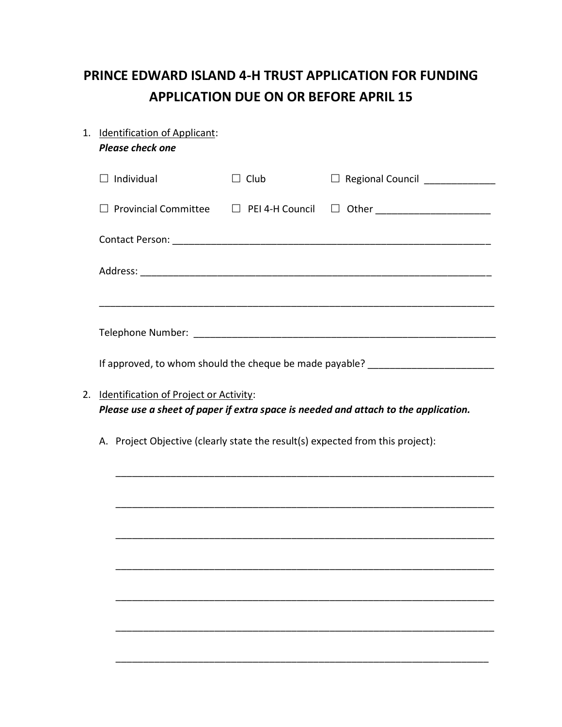## **PRINCE EDWARD ISLAND 4-H TRUST APPLICATION FOR FUNDING APPLICATION DUE ON OR BEFORE APRIL 15**

| 1. | <b>Identification of Applicant:</b><br><b>Please check one</b>                      |                                               |                                 |  |  |  |  |
|----|-------------------------------------------------------------------------------------|-----------------------------------------------|---------------------------------|--|--|--|--|
|    |                                                                                     |                                               |                                 |  |  |  |  |
|    | $\Box$ Individual                                                                   | $\Box$ Club                                   | □ Regional Council ____________ |  |  |  |  |
|    | <b>Provincial Committee</b>                                                         | $\Box$ PEI 4-H Council                        | □ Other ______________________  |  |  |  |  |
|    |                                                                                     |                                               |                                 |  |  |  |  |
|    |                                                                                     |                                               |                                 |  |  |  |  |
|    |                                                                                     |                                               |                                 |  |  |  |  |
|    |                                                                                     |                                               |                                 |  |  |  |  |
|    | If approved, to whom should the cheque be made payable? ________________________    |                                               |                                 |  |  |  |  |
| 2. |                                                                                     | <b>Identification of Project or Activity:</b> |                                 |  |  |  |  |
|    | Please use a sheet of paper if extra space is needed and attach to the application. |                                               |                                 |  |  |  |  |
|    | A. Project Objective (clearly state the result(s) expected from this project):      |                                               |                                 |  |  |  |  |
|    |                                                                                     |                                               |                                 |  |  |  |  |
|    |                                                                                     |                                               |                                 |  |  |  |  |
|    |                                                                                     |                                               |                                 |  |  |  |  |
|    |                                                                                     |                                               |                                 |  |  |  |  |
|    |                                                                                     |                                               |                                 |  |  |  |  |
|    |                                                                                     |                                               |                                 |  |  |  |  |

\_\_\_\_\_\_\_\_\_\_\_\_\_\_\_\_\_\_\_\_\_\_\_\_\_\_\_\_\_\_\_\_\_\_\_\_\_\_\_\_\_\_\_\_\_\_\_\_\_\_\_\_\_\_\_\_\_\_\_\_\_\_\_\_\_\_\_\_